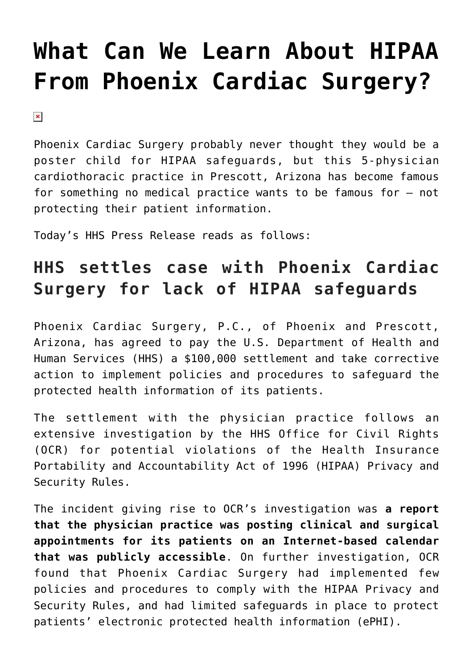# **[What Can We Learn About HIPAA](https://managemypractice.com/what-can-we-learn-about-hipaa-from-phoenix-cardiac-surgery/) [From Phoenix Cardiac Surgery?](https://managemypractice.com/what-can-we-learn-about-hipaa-from-phoenix-cardiac-surgery/)**

 $\pmb{\times}$ 

Phoenix Cardiac Surgery probably never thought they would be a poster child for HIPAA safeguards, but this 5-physician cardiothoracic practice in Prescott, Arizona has become famous for something no medical practice wants to be famous for – not protecting their patient information.

Today's HHS Press Release reads as follows:

## **HHS settles case with Phoenix Cardiac Surgery for lack of HIPAA safeguards**

Phoenix Cardiac Surgery, P.C., of Phoenix and Prescott, Arizona, has agreed to pay the U.S. Department of Health and Human Services (HHS) a \$100,000 settlement and take corrective action to implement policies and procedures to safeguard the protected health information of its patients.

The settlement with the physician practice follows an extensive investigation by the HHS Office for Civil Rights (OCR) for potential violations of the Health Insurance Portability and Accountability Act of 1996 (HIPAA) Privacy and Security Rules.

The incident giving rise to OCR's investigation was **a report that the physician practice was posting clinical and surgical appointments for its patients on an Internet-based calendar that was publicly accessible**. On further investigation, OCR found that Phoenix Cardiac Surgery had implemented few policies and procedures to comply with the HIPAA Privacy and Security Rules, and had limited safeguards in place to protect patients' electronic protected health information (ePHI).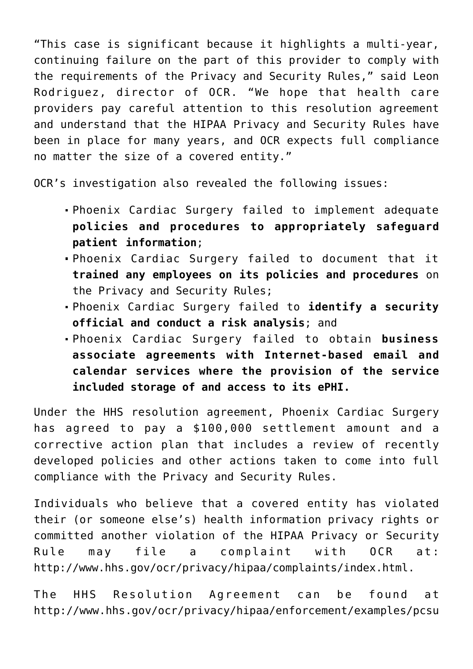"This case is significant because it highlights a multi-year, continuing failure on the part of this provider to comply with the requirements of the Privacy and Security Rules," said Leon Rodriguez, director of OCR. "We hope that health care providers pay careful attention to this resolution agreement and understand that the HIPAA Privacy and Security Rules have been in place for many years, and OCR expects full compliance no matter the size of a covered entity."

OCR's investigation also revealed the following issues:

- Phoenix Cardiac Surgery failed to implement adequate **policies and procedures to appropriately safeguard patient information**;
- Phoenix Cardiac Surgery failed to document that it **trained any employees on its policies and procedures** on the Privacy and Security Rules;
- Phoenix Cardiac Surgery failed to **identify a security official and conduct a risk analysis**; and
- Phoenix Cardiac Surgery failed to obtain **business associate agreements with Internet-based email and calendar services where the provision of the service included storage of and access to its ePHI.**

Under the HHS resolution agreement, Phoenix Cardiac Surgery has agreed to pay a \$100,000 settlement amount and a corrective action plan that includes a review of recently developed policies and other actions taken to come into full compliance with the Privacy and Security Rules.

Individuals who believe that a covered entity has violated their (or someone else's) health information privacy rights or committed another violation of the HIPAA Privacy or Security Rule may file a complaint with OCR at: [http://www.hhs.gov/ocr/privacy/hipaa/complaints/index.html.](http://www.hhs.gov/ocr/privacy/hipaa/complaints/index.html)

The HHS Resolution Agreement can be found at [http://www.hhs.gov/ocr/privacy/hipaa/enforcement/examples/pcsu](http://www.hhs.gov/ocr/privacy/hipaa/enforcement/examples/pcsurgery_agreement.pdf)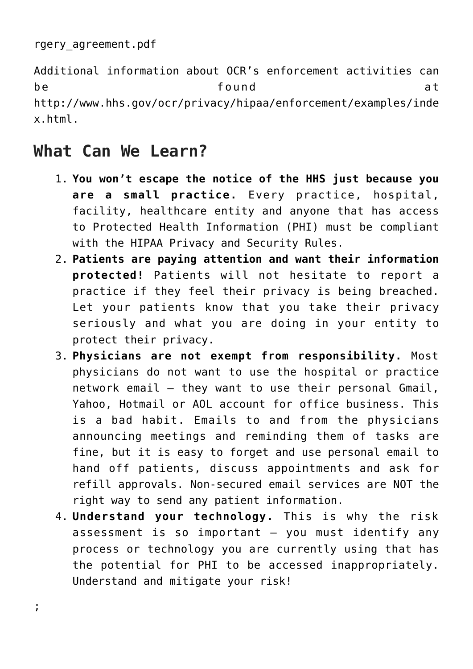```
rgery_agreement.pdf
```
Additional information about OCR's enforcement activities can be a found at a bunder and  $\lambda$ [http://www.hhs.gov/ocr/privacy/hipaa/enforcement/examples/inde](http://www.hhs.gov/ocr/privacy/hipaa/enforcement/examples/index.html) [x.html](http://www.hhs.gov/ocr/privacy/hipaa/enforcement/examples/index.html).

## **What Can We Learn?**

- 1. **You won't escape the notice of the HHS just because you are a small practice.** Every practice, hospital, facility, healthcare entity and anyone that has access to Protected Health Information (PHI) must be compliant with the HIPAA Privacy and Security Rules.
- 2. **Patients are paying attention and want their information protected!** Patients will not hesitate to report a practice if they feel their privacy is being breached. Let your patients know that you take their privacy seriously and what you are doing in your entity to protect their privacy.
- 3. **Physicians are not exempt from responsibility.** Most physicians do not want to use the hospital or practice network email – they want to use their personal Gmail, Yahoo, Hotmail or AOL account for office business. This is a bad habit. Emails to and from the physicians announcing meetings and reminding them of tasks are fine, but it is easy to forget and use personal email to hand off patients, discuss appointments and ask for refill approvals. Non-secured email services are NOT the right way to send any patient information.
- 4. **Understand your technology.** This is why the risk assessment is so important – you must identify any process or technology you are currently using that has the potential for PHI to be accessed inappropriately. Understand and mitigate your risk!